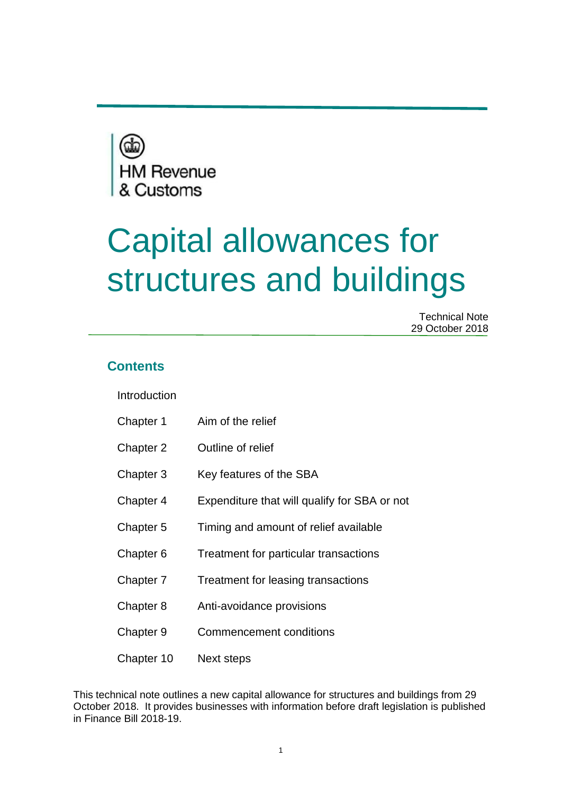

# Capital allowances for structures and buildings

Technical Note 29 October 2018

## **Contents**

Introduction

| Chapter 1 |  | Aim of the relief |
|-----------|--|-------------------|
|           |  |                   |

- Chapter 2 Outline of relief
- Chapter 3 Key features of the SBA
- Chapter 4 Expenditure that will qualify for SBA or not
- Chapter 5 Timing and amount of relief available
- Chapter 6 Treatment for particular transactions
- Chapter 7 Treatment for leasing transactions
- Chapter 8 Anti-avoidance provisions
- Chapter 9 Commencement conditions
- Chapter 10 Next steps

This technical note outlines a new capital allowance for structures and buildings from 29 October 2018. It provides businesses with information before draft legislation is published in Finance Bill 2018-19.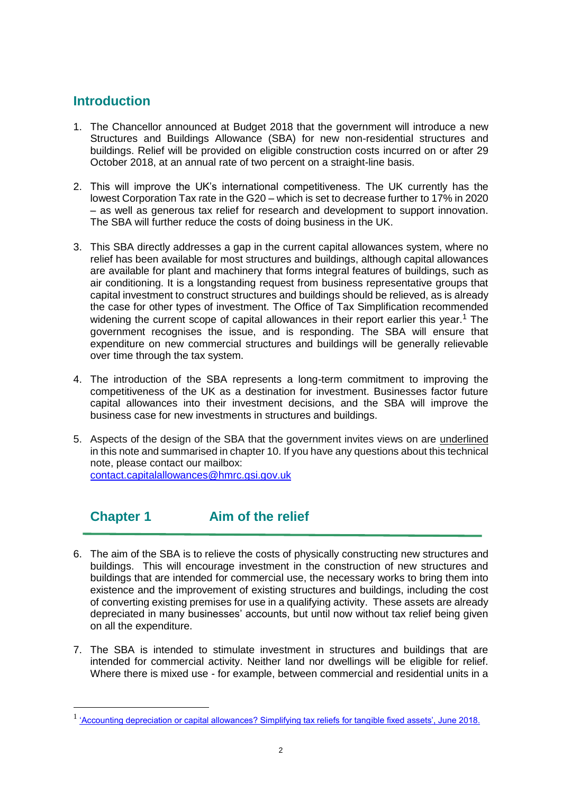# **Introduction**

 $\overline{a}$ 

- 1. The Chancellor announced at Budget 2018 that the government will introduce a new Structures and Buildings Allowance (SBA) for new non-residential structures and buildings. Relief will be provided on eligible construction costs incurred on or after 29 October 2018, at an annual rate of two percent on a straight-line basis.
- 2. This will improve the UK's international competitiveness. The UK currently has the lowest Corporation Tax rate in the G20 – which is set to decrease further to 17% in 2020 – as well as generous tax relief for research and development to support innovation. The SBA will further reduce the costs of doing business in the UK.
- 3. This SBA directly addresses a gap in the current capital allowances system, where no relief has been available for most structures and buildings, although capital allowances are available for plant and machinery that forms integral features of buildings, such as air conditioning. It is a longstanding request from business representative groups that capital investment to construct structures and buildings should be relieved, as is already the case for other types of investment. The Office of Tax Simplification recommended widening the current scope of capital allowances in their report earlier this year.<sup>1</sup> The government recognises the issue, and is responding. The SBA will ensure that expenditure on new commercial structures and buildings will be generally relievable over time through the tax system.
- 4. The introduction of the SBA represents a long-term commitment to improving the competitiveness of the UK as a destination for investment. Businesses factor future capital allowances into their investment decisions, and the SBA will improve the business case for new investments in structures and buildings.
- 5. Aspects of the design of the SBA that the government invites views on are underlined in this note and summarised in chapter 10. If you have any questions about this technical note, please contact our mailbox: [contact.capitalallowances@hmrc.gsi.gov.uk](mailto:contact.capitalallowances@hmrc.gsi.gov.uk)

# **Chapter 1 Aim of the relief**

- 6. The aim of the SBA is to relieve the costs of physically constructing new structures and buildings. This will encourage investment in the construction of new structures and buildings that are intended for commercial use, the necessary works to bring them into existence and the improvement of existing structures and buildings, including the cost of converting existing premises for use in a qualifying activity. These assets are already depreciated in many businesses' accounts, but until now without tax relief being given on all the expenditure.
- 7. The SBA is intended to stimulate investment in structures and buildings that are intended for commercial activity. Neither land nor dwellings will be eligible for relief. Where there is mixed use - for example, between commercial and residential units in a

<sup>&</sup>lt;sup>1</sup> ['Accounting depreciation or capital allowances? Simplifying tax reliefs for tangible fixed assets', June 2018.](https://assets.publishing.service.gov.uk/government/uploads/system/uploads/attachment_data/file/716300/Accounting_depreciation_or_capital_allowances_print.pdf)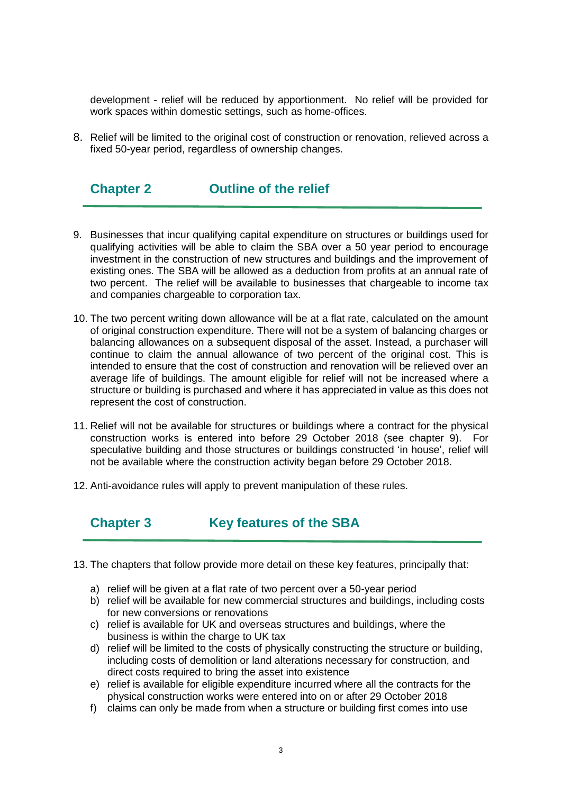development - relief will be reduced by apportionment. No relief will be provided for work spaces within domestic settings, such as home-offices.

8. Relief will be limited to the original cost of construction or renovation, relieved across a fixed 50-year period, regardless of ownership changes.

## **Chapter 2 Outline of the relief**

- 9. Businesses that incur qualifying capital expenditure on structures or buildings used for qualifying activities will be able to claim the SBA over a 50 year period to encourage investment in the construction of new structures and buildings and the improvement of existing ones. The SBA will be allowed as a deduction from profits at an annual rate of two percent. The relief will be available to businesses that chargeable to income tax and companies chargeable to corporation tax.
- 10. The two percent writing down allowance will be at a flat rate, calculated on the amount of original construction expenditure. There will not be a system of balancing charges or balancing allowances on a subsequent disposal of the asset. Instead, a purchaser will continue to claim the annual allowance of two percent of the original cost. This is intended to ensure that the cost of construction and renovation will be relieved over an average life of buildings. The amount eligible for relief will not be increased where a structure or building is purchased and where it has appreciated in value as this does not represent the cost of construction.
- 11. Relief will not be available for structures or buildings where a contract for the physical construction works is entered into before 29 October 2018 (see chapter 9). For speculative building and those structures or buildings constructed 'in house', relief will not be available where the construction activity began before 29 October 2018.
- 12. Anti-avoidance rules will apply to prevent manipulation of these rules.

## **Chapter 3 Key features of the SBA**

- 13. The chapters that follow provide more detail on these key features, principally that:
	- a) relief will be given at a flat rate of two percent over a 50-year period
	- b) relief will be available for new commercial structures and buildings, including costs for new conversions or renovations
	- c) relief is available for UK and overseas structures and buildings, where the business is within the charge to UK tax
	- d) relief will be limited to the costs of physically constructing the structure or building, including costs of demolition or land alterations necessary for construction, and direct costs required to bring the asset into existence
	- e) relief is available for eligible expenditure incurred where all the contracts for the physical construction works were entered into on or after 29 October 2018
	- f) claims can only be made from when a structure or building first comes into use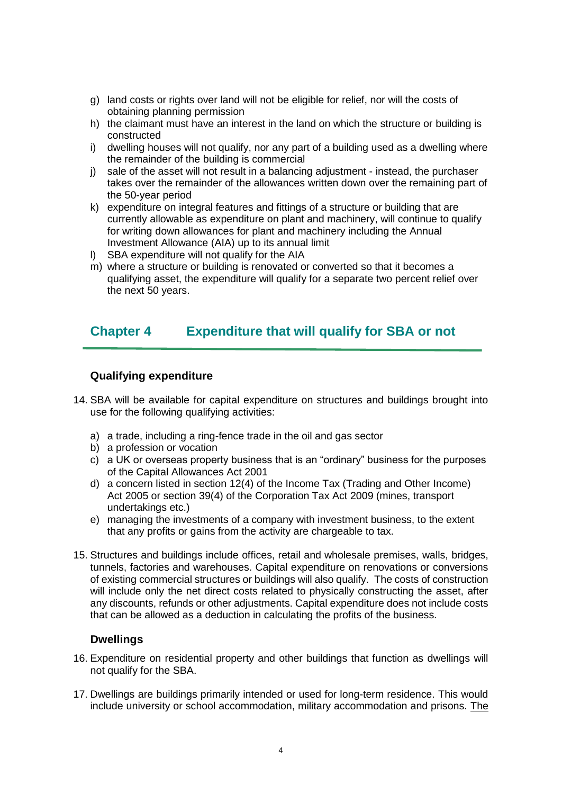- g) land costs or rights over land will not be eligible for relief, nor will the costs of obtaining planning permission
- h) the claimant must have an interest in the land on which the structure or building is constructed
- i) dwelling houses will not qualify, nor any part of a building used as a dwelling where the remainder of the building is commercial
- j) sale of the asset will not result in a balancing adjustment instead, the purchaser takes over the remainder of the allowances written down over the remaining part of the 50-year period
- k) expenditure on integral features and fittings of a structure or building that are currently allowable as expenditure on plant and machinery, will continue to qualify for writing down allowances for plant and machinery including the Annual Investment Allowance (AIA) up to its annual limit
- l) SBA expenditure will not qualify for the AIA
- m) where a structure or building is renovated or converted so that it becomes a qualifying asset, the expenditure will qualify for a separate two percent relief over the next 50 years.

## **Chapter 4 Expenditure that will qualify for SBA or not**

#### **Qualifying expenditure**

- 14. SBA will be available for capital expenditure on structures and buildings brought into use for the following qualifying activities:
	- a) a trade, including a ring-fence trade in the oil and gas sector
	- b) a profession or vocation
	- c) a UK or overseas property business that is an "ordinary" business for the purposes of the Capital Allowances Act 2001
	- d) a concern listed in section 12(4) of the Income Tax (Trading and Other Income) Act 2005 or section 39(4) of the Corporation Tax Act 2009 (mines, transport undertakings etc.)
	- e) managing the investments of a company with investment business, to the extent that any profits or gains from the activity are chargeable to tax.
- 15. Structures and buildings include offices, retail and wholesale premises, walls, bridges, tunnels, factories and warehouses. Capital expenditure on renovations or conversions of existing commercial structures or buildings will also qualify. The costs of construction will include only the net direct costs related to physically constructing the asset, after any discounts, refunds or other adjustments. Capital expenditure does not include costs that can be allowed as a deduction in calculating the profits of the business.

#### **Dwellings**

- 16. Expenditure on residential property and other buildings that function as dwellings will not qualify for the SBA.
- 17. Dwellings are buildings primarily intended or used for long-term residence. This would include university or school accommodation, military accommodation and prisons. The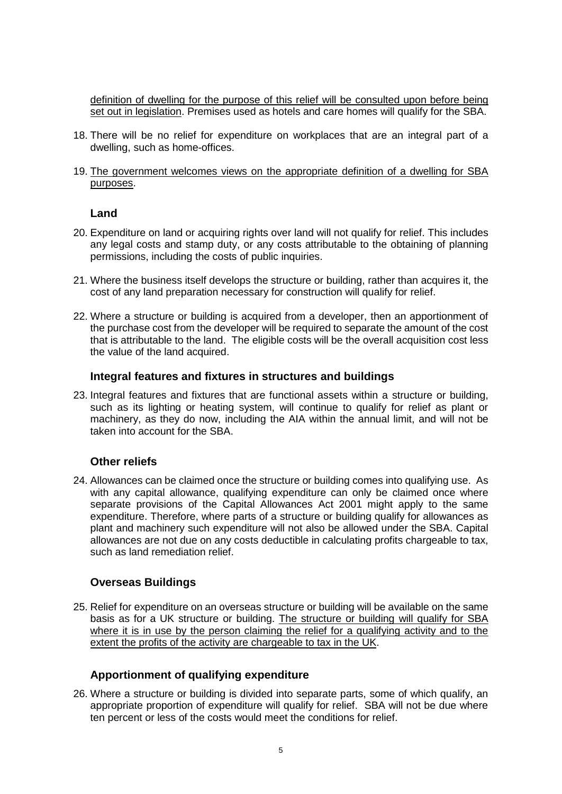definition of dwelling for the purpose of this relief will be consulted upon before being set out in legislation. Premises used as hotels and care homes will qualify for the SBA.

- 18. There will be no relief for expenditure on workplaces that are an integral part of a dwelling, such as home-offices.
- 19. The government welcomes views on the appropriate definition of a dwelling for SBA purposes.

#### **Land**

- 20. Expenditure on land or acquiring rights over land will not qualify for relief. This includes any legal costs and stamp duty, or any costs attributable to the obtaining of planning permissions, including the costs of public inquiries.
- 21. Where the business itself develops the structure or building, rather than acquires it, the cost of any land preparation necessary for construction will qualify for relief.
- 22. Where a structure or building is acquired from a developer, then an apportionment of the purchase cost from the developer will be required to separate the amount of the cost that is attributable to the land. The eligible costs will be the overall acquisition cost less the value of the land acquired.

#### **Integral features and fixtures in structures and buildings**

23. Integral features and fixtures that are functional assets within a structure or building, such as its lighting or heating system, will continue to qualify for relief as plant or machinery, as they do now, including the AIA within the annual limit, and will not be taken into account for the SBA.

#### **Other reliefs**

24. Allowances can be claimed once the structure or building comes into qualifying use. As with any capital allowance, qualifying expenditure can only be claimed once where separate provisions of the Capital Allowances Act 2001 might apply to the same expenditure. Therefore, where parts of a structure or building qualify for allowances as plant and machinery such expenditure will not also be allowed under the SBA. Capital allowances are not due on any costs deductible in calculating profits chargeable to tax, such as land remediation relief.

#### **Overseas Buildings**

25. Relief for expenditure on an overseas structure or building will be available on the same basis as for a UK structure or building. The structure or building will qualify for SBA where it is in use by the person claiming the relief for a qualifying activity and to the extent the profits of the activity are chargeable to tax in the UK.

#### **Apportionment of qualifying expenditure**

26. Where a structure or building is divided into separate parts, some of which qualify, an appropriate proportion of expenditure will qualify for relief. SBA will not be due where ten percent or less of the costs would meet the conditions for relief.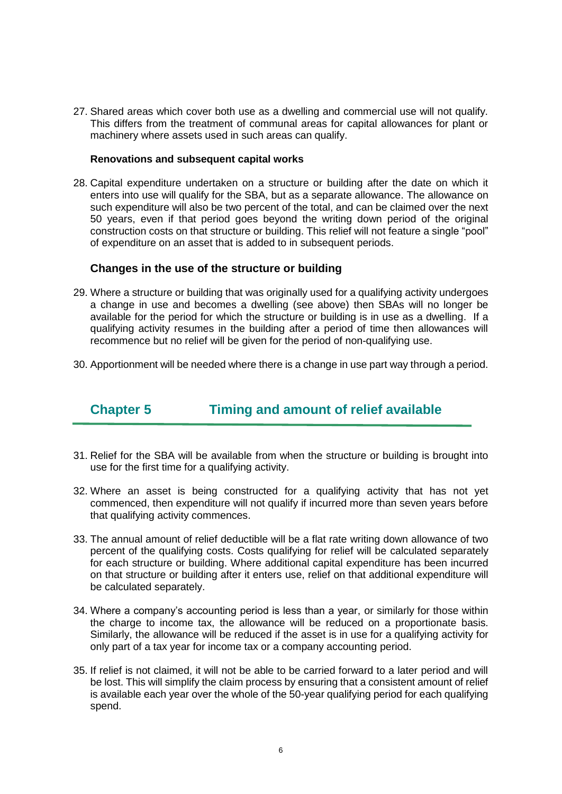27. Shared areas which cover both use as a dwelling and commercial use will not qualify. This differs from the treatment of communal areas for capital allowances for plant or machinery where assets used in such areas can qualify.

#### **Renovations and subsequent capital works**

28. Capital expenditure undertaken on a structure or building after the date on which it enters into use will qualify for the SBA, but as a separate allowance. The allowance on such expenditure will also be two percent of the total, and can be claimed over the next 50 years, even if that period goes beyond the writing down period of the original construction costs on that structure or building. This relief will not feature a single "pool" of expenditure on an asset that is added to in subsequent periods.

#### **Changes in the use of the structure or building**

- 29. Where a structure or building that was originally used for a qualifying activity undergoes a change in use and becomes a dwelling (see above) then SBAs will no longer be available for the period for which the structure or building is in use as a dwelling. If a qualifying activity resumes in the building after a period of time then allowances will recommence but no relief will be given for the period of non-qualifying use.
- 30. Apportionment will be needed where there is a change in use part way through a period.

# **Chapter 5 Timing and amount of relief available**

- 31. Relief for the SBA will be available from when the structure or building is brought into use for the first time for a qualifying activity.
- 32. Where an asset is being constructed for a qualifying activity that has not yet commenced, then expenditure will not qualify if incurred more than seven years before that qualifying activity commences.
- 33. The annual amount of relief deductible will be a flat rate writing down allowance of two percent of the qualifying costs. Costs qualifying for relief will be calculated separately for each structure or building. Where additional capital expenditure has been incurred on that structure or building after it enters use, relief on that additional expenditure will be calculated separately.
- 34. Where a company's accounting period is less than a year, or similarly for those within the charge to income tax, the allowance will be reduced on a proportionate basis. Similarly, the allowance will be reduced if the asset is in use for a qualifying activity for only part of a tax year for income tax or a company accounting period.
- 35. If relief is not claimed, it will not be able to be carried forward to a later period and will be lost. This will simplify the claim process by ensuring that a consistent amount of relief is available each year over the whole of the 50-year qualifying period for each qualifying spend.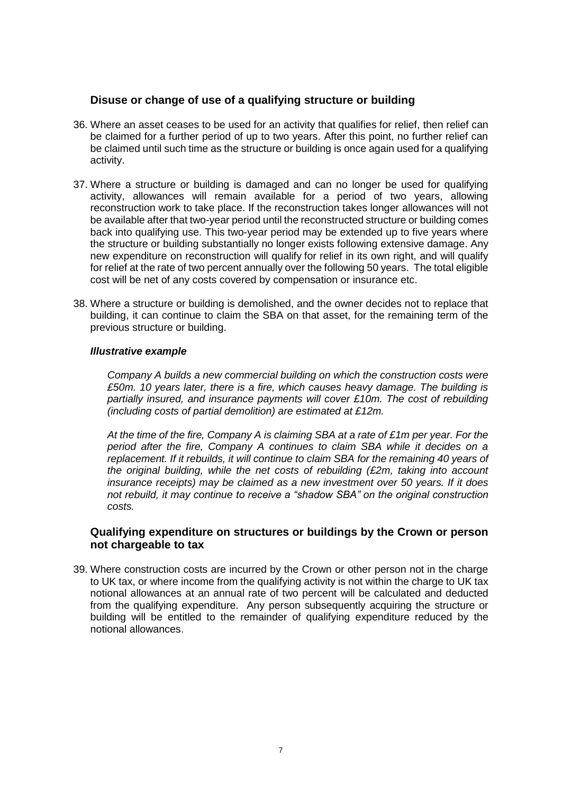#### **Disuse or change of use of a qualifying structure or building**

- 36. Where an asset ceases to be used for an activity that qualifies for relief, then relief can be claimed for a further period of up to two years. After this point, no further relief can be claimed until such time as the structure or building is once again used for a qualifying activity.
- 37. Where a structure or building is damaged and can no longer be used for qualifying activity, allowances will remain available for a period of two years, allowing reconstruction work to take place. If the reconstruction takes longer allowances will not be available after that two-year period until the reconstructed structure or building comes back into qualifying use. This two-year period may be extended up to five years where the structure or building substantially no longer exists following extensive damage. Any new expenditure on reconstruction will qualify for relief in its own right, and will qualify for relief at the rate of two percent annually over the following 50 years. The total eligible cost will be net of any costs covered by compensation or insurance etc.
- 38. Where a structure or building is demolished, and the owner decides not to replace that building, it can continue to claim the SBA on that asset, for the remaining term of the previous structure or building.

#### *Illustrative example*

*Company A builds a new commercial building on which the construction costs were £50m. 10 years later, there is a fire, which causes heavy damage. The building is partially insured, and insurance payments will cover £10m. The cost of rebuilding (including costs of partial demolition) are estimated at £12m.*

*At the time of the fire, Company A is claiming SBA at a rate of £1m per year. For the period after the fire, Company A continues to claim SBA while it decides on a replacement. If it rebuilds, it will continue to claim SBA for the remaining 40 years of the original building, while the net costs of rebuilding (£2m, taking into account insurance receipts) may be claimed as a new investment over 50 years. If it does not rebuild, it may continue to receive a "shadow SBA" on the original construction costs.*

#### **Qualifying expenditure on structures or buildings by the Crown or person not chargeable to tax**

39. Where construction costs are incurred by the Crown or other person not in the charge to UK tax, or where income from the qualifying activity is not within the charge to UK tax notional allowances at an annual rate of two percent will be calculated and deducted from the qualifying expenditure. Any person subsequently acquiring the structure or building will be entitled to the remainder of qualifying expenditure reduced by the notional allowances.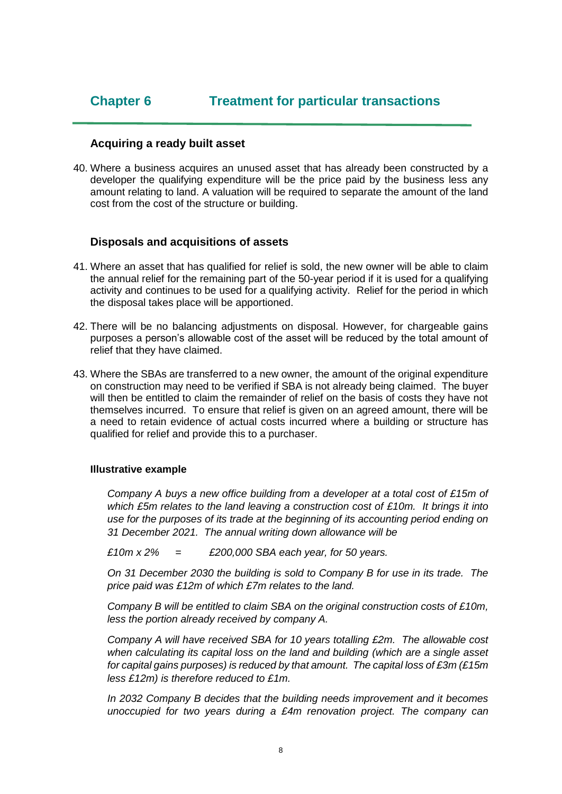#### **Acquiring a ready built asset**

40. Where a business acquires an unused asset that has already been constructed by a developer the qualifying expenditure will be the price paid by the business less any amount relating to land. A valuation will be required to separate the amount of the land cost from the cost of the structure or building.

#### **Disposals and acquisitions of assets**

- 41. Where an asset that has qualified for relief is sold, the new owner will be able to claim the annual relief for the remaining part of the 50-year period if it is used for a qualifying activity and continues to be used for a qualifying activity. Relief for the period in which the disposal takes place will be apportioned.
- 42. There will be no balancing adjustments on disposal. However, for chargeable gains purposes a person's allowable cost of the asset will be reduced by the total amount of relief that they have claimed.
- 43. Where the SBAs are transferred to a new owner, the amount of the original expenditure on construction may need to be verified if SBA is not already being claimed. The buyer will then be entitled to claim the remainder of relief on the basis of costs they have not themselves incurred. To ensure that relief is given on an agreed amount, there will be a need to retain evidence of actual costs incurred where a building or structure has qualified for relief and provide this to a purchaser.

#### **Illustrative example**

*Company A buys a new office building from a developer at a total cost of £15m of which £5m relates to the land leaving a construction cost of £10m. It brings it into use for the purposes of its trade at the beginning of its accounting period ending on 31 December 2021. The annual writing down allowance will be* 

*£10m x 2% = £200,000 SBA each year, for 50 years.* 

*On 31 December 2030 the building is sold to Company B for use in its trade. The price paid was £12m of which £7m relates to the land.*

*Company B will be entitled to claim SBA on the original construction costs of £10m, less the portion already received by company A.*

*Company A will have received SBA for 10 years totalling £2m. The allowable cost when calculating its capital loss on the land and building (which are a single asset for capital gains purposes) is reduced by that amount. The capital loss of £3m (£15m less £12m) is therefore reduced to £1m.*

*In 2032 Company B decides that the building needs improvement and it becomes unoccupied for two years during a £4m renovation project. The company can*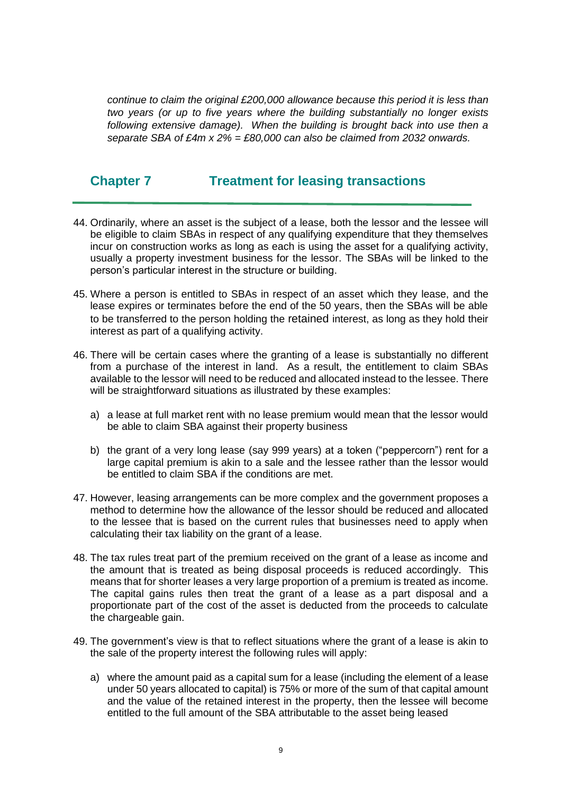*continue to claim the original £200,000 allowance because this period it is less than two years (or up to five years where the building substantially no longer exists following extensive damage). When the building is brought back into use then a separate SBA of £4m x 2% = £80,000 can also be claimed from 2032 onwards.* 

# **Chapter 7 Treatment for leasing transactions**

- 44. Ordinarily, where an asset is the subject of a lease, both the lessor and the lessee will be eligible to claim SBAs in respect of any qualifying expenditure that they themselves incur on construction works as long as each is using the asset for a qualifying activity, usually a property investment business for the lessor. The SBAs will be linked to the person's particular interest in the structure or building.
- 45. Where a person is entitled to SBAs in respect of an asset which they lease, and the lease expires or terminates before the end of the 50 years, then the SBAs will be able to be transferred to the person holding the retained interest, as long as they hold their interest as part of a qualifying activity.
- 46. There will be certain cases where the granting of a lease is substantially no different from a purchase of the interest in land. As a result, the entitlement to claim SBAs available to the lessor will need to be reduced and allocated instead to the lessee. There will be straightforward situations as illustrated by these examples:
	- a) a lease at full market rent with no lease premium would mean that the lessor would be able to claim SBA against their property business
	- b) the grant of a very long lease (say 999 years) at a token ("peppercorn") rent for a large capital premium is akin to a sale and the lessee rather than the lessor would be entitled to claim SBA if the conditions are met.
- 47. However, leasing arrangements can be more complex and the government proposes a method to determine how the allowance of the lessor should be reduced and allocated to the lessee that is based on the current rules that businesses need to apply when calculating their tax liability on the grant of a lease.
- 48. The tax rules treat part of the premium received on the grant of a lease as income and the amount that is treated as being disposal proceeds is reduced accordingly. This means that for shorter leases a very large proportion of a premium is treated as income. The capital gains rules then treat the grant of a lease as a part disposal and a proportionate part of the cost of the asset is deducted from the proceeds to calculate the chargeable gain.
- 49. The government's view is that to reflect situations where the grant of a lease is akin to the sale of the property interest the following rules will apply:
	- a) where the amount paid as a capital sum for a lease (including the element of a lease under 50 years allocated to capital) is 75% or more of the sum of that capital amount and the value of the retained interest in the property, then the lessee will become entitled to the full amount of the SBA attributable to the asset being leased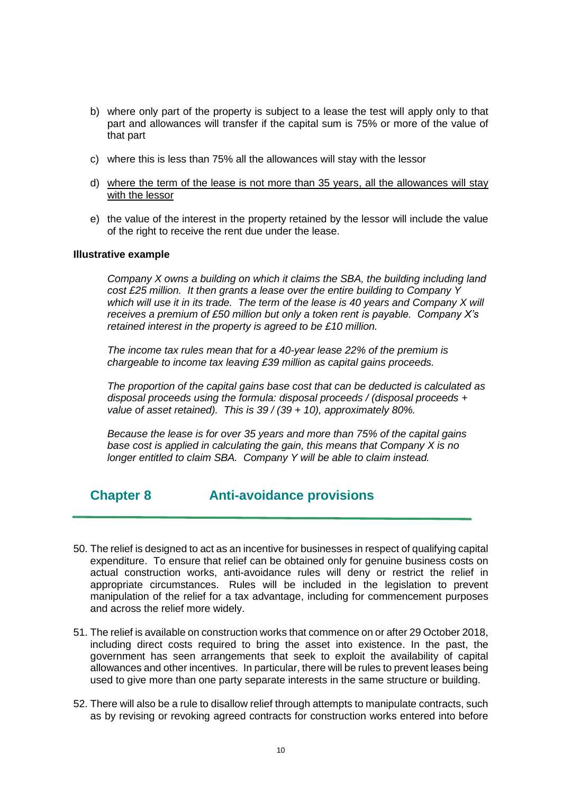- b) where only part of the property is subject to a lease the test will apply only to that part and allowances will transfer if the capital sum is 75% or more of the value of that part
- c) where this is less than 75% all the allowances will stay with the lessor
- d) where the term of the lease is not more than 35 years, all the allowances will stay with the lessor
- e) the value of the interest in the property retained by the lessor will include the value of the right to receive the rent due under the lease.

#### **Illustrative example**

*Company X owns a building on which it claims the SBA, the building including land cost £25 million. It then grants a lease over the entire building to Company Y which will use it in its trade. The term of the lease is 40 years and Company X will receives a premium of £50 million but only a token rent is payable. Company X's retained interest in the property is agreed to be £10 million.*

*The income tax rules mean that for a 40-year lease 22% of the premium is chargeable to income tax leaving £39 million as capital gains proceeds.*

*The proportion of the capital gains base cost that can be deducted is calculated as disposal proceeds using the formula: disposal proceeds / (disposal proceeds + value of asset retained). This is 39 / (39 + 10), approximately 80%.*

*Because the lease is for over 35 years and more than 75% of the capital gains base cost is applied in calculating the gain, this means that Company X is no longer entitled to claim SBA. Company Y will be able to claim instead.*

**Chapter 8 Anti-avoidance provisions** 

- 50. The relief is designed to act as an incentive for businesses in respect of qualifying capital expenditure. To ensure that relief can be obtained only for genuine business costs on actual construction works, anti-avoidance rules will deny or restrict the relief in appropriate circumstances. Rules will be included in the legislation to prevent manipulation of the relief for a tax advantage, including for commencement purposes and across the relief more widely.
- 51. The relief is available on construction works that commence on or after 29 October 2018, including direct costs required to bring the asset into existence. In the past, the government has seen arrangements that seek to exploit the availability of capital allowances and other incentives. In particular, there will be rules to prevent leases being used to give more than one party separate interests in the same structure or building.
- 52. There will also be a rule to disallow relief through attempts to manipulate contracts, such as by revising or revoking agreed contracts for construction works entered into before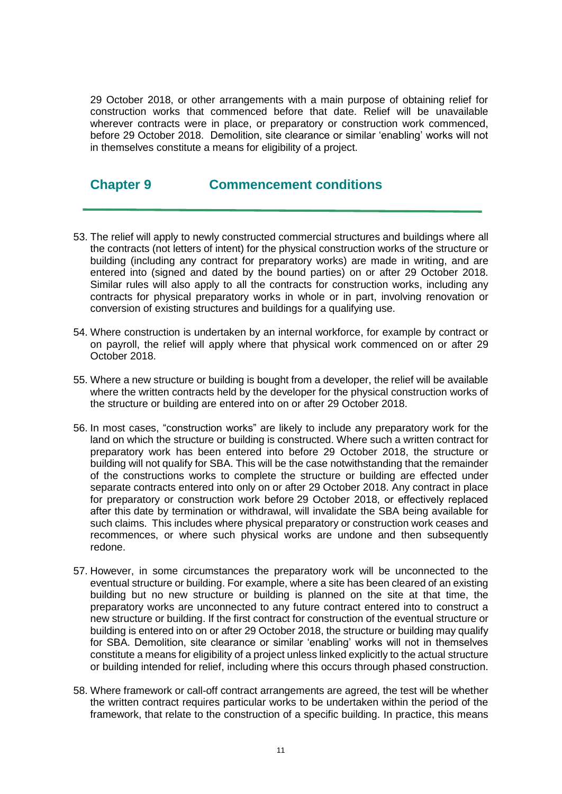29 October 2018, or other arrangements with a main purpose of obtaining relief for construction works that commenced before that date. Relief will be unavailable wherever contracts were in place, or preparatory or construction work commenced, before 29 October 2018. Demolition, site clearance or similar 'enabling' works will not in themselves constitute a means for eligibility of a project.

## **Chapter 9 Commencement conditions**

- 53. The relief will apply to newly constructed commercial structures and buildings where all the contracts (not letters of intent) for the physical construction works of the structure or building (including any contract for preparatory works) are made in writing, and are entered into (signed and dated by the bound parties) on or after 29 October 2018. Similar rules will also apply to all the contracts for construction works, including any contracts for physical preparatory works in whole or in part, involving renovation or conversion of existing structures and buildings for a qualifying use.
- 54. Where construction is undertaken by an internal workforce, for example by contract or on payroll, the relief will apply where that physical work commenced on or after 29 October 2018.
- 55. Where a new structure or building is bought from a developer, the relief will be available where the written contracts held by the developer for the physical construction works of the structure or building are entered into on or after 29 October 2018.
- 56. In most cases, "construction works" are likely to include any preparatory work for the land on which the structure or building is constructed. Where such a written contract for preparatory work has been entered into before 29 October 2018, the structure or building will not qualify for SBA. This will be the case notwithstanding that the remainder of the constructions works to complete the structure or building are effected under separate contracts entered into only on or after 29 October 2018. Any contract in place for preparatory or construction work before 29 October 2018, or effectively replaced after this date by termination or withdrawal, will invalidate the SBA being available for such claims. This includes where physical preparatory or construction work ceases and recommences, or where such physical works are undone and then subsequently redone.
- 57. However, in some circumstances the preparatory work will be unconnected to the eventual structure or building. For example, where a site has been cleared of an existing building but no new structure or building is planned on the site at that time, the preparatory works are unconnected to any future contract entered into to construct a new structure or building. If the first contract for construction of the eventual structure or building is entered into on or after 29 October 2018, the structure or building may qualify for SBA. Demolition, site clearance or similar 'enabling' works will not in themselves constitute a means for eligibility of a project unless linked explicitly to the actual structure or building intended for relief, including where this occurs through phased construction.
- 58. Where framework or call-off contract arrangements are agreed, the test will be whether the written contract requires particular works to be undertaken within the period of the framework, that relate to the construction of a specific building. In practice, this means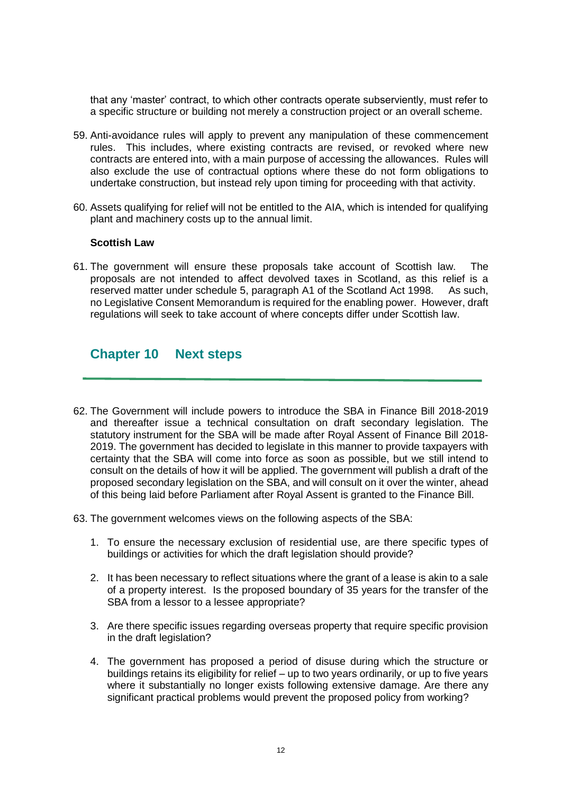that any 'master' contract, to which other contracts operate subserviently, must refer to a specific structure or building not merely a construction project or an overall scheme.

- 59. Anti-avoidance rules will apply to prevent any manipulation of these commencement rules. This includes, where existing contracts are revised, or revoked where new contracts are entered into, with a main purpose of accessing the allowances. Rules will also exclude the use of contractual options where these do not form obligations to undertake construction, but instead rely upon timing for proceeding with that activity.
- 60. Assets qualifying for relief will not be entitled to the AIA, which is intended for qualifying plant and machinery costs up to the annual limit.

#### **Scottish Law**

61. The government will ensure these proposals take account of Scottish law. The proposals are not intended to affect devolved taxes in Scotland, as this relief is a reserved matter under schedule 5, paragraph A1 of the Scotland Act 1998. As such, no Legislative Consent Memorandum is required for the enabling power. However, draft regulations will seek to take account of where concepts differ under Scottish law.

## **Chapter 10 Next steps**

- 62. The Government will include powers to introduce the SBA in Finance Bill 2018-2019 and thereafter issue a technical consultation on draft secondary legislation. The statutory instrument for the SBA will be made after Royal Assent of Finance Bill 2018- 2019. The government has decided to legislate in this manner to provide taxpayers with certainty that the SBA will come into force as soon as possible, but we still intend to consult on the details of how it will be applied. The government will publish a draft of the proposed secondary legislation on the SBA, and will consult on it over the winter, ahead of this being laid before Parliament after Royal Assent is granted to the Finance Bill.
- 63. The government welcomes views on the following aspects of the SBA:
	- 1. To ensure the necessary exclusion of residential use, are there specific types of buildings or activities for which the draft legislation should provide?
	- 2. It has been necessary to reflect situations where the grant of a lease is akin to a sale of a property interest. Is the proposed boundary of 35 years for the transfer of the SBA from a lessor to a lessee appropriate?
	- 3. Are there specific issues regarding overseas property that require specific provision in the draft legislation?
	- 4. The government has proposed a period of disuse during which the structure or buildings retains its eligibility for relief – up to two years ordinarily, or up to five years where it substantially no longer exists following extensive damage. Are there any significant practical problems would prevent the proposed policy from working?